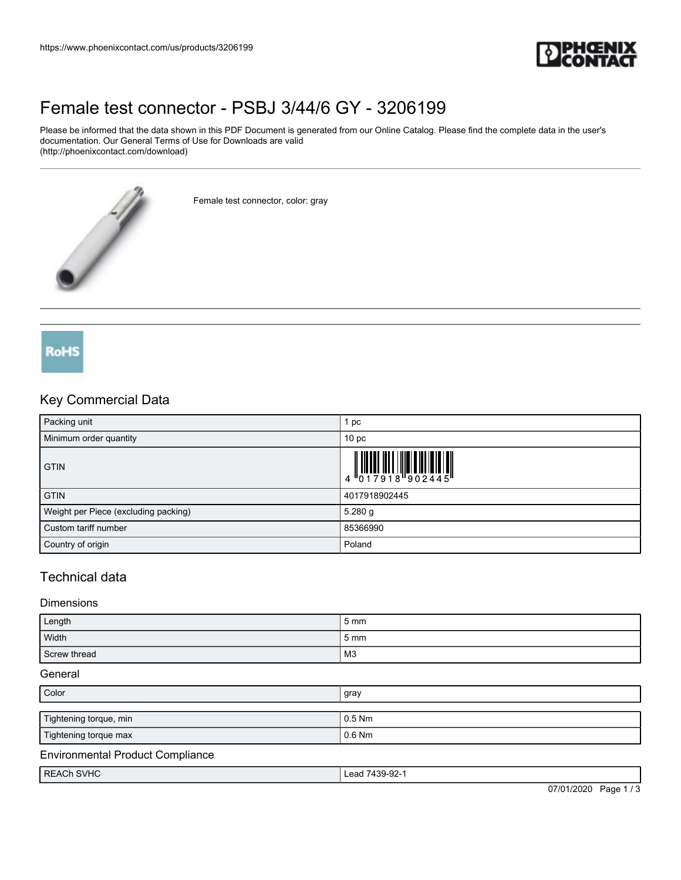

# [Female test connector - PSBJ 3/44/6 GY - 3206199](https://www.phoenixcontact.com/us/products/3206199)

Please be informed that the data shown in this PDF Document is generated from our Online Catalog. Please find the complete data in the user's documentation. Our General Terms of Use for Downloads are valid (http://phoenixcontact.com/download)



Female test connector, color: gray

# **RoHS**

### Key Commercial Data

| Packing unit                         | pc                                                                                                                                                                                                                                                                                                                            |
|--------------------------------------|-------------------------------------------------------------------------------------------------------------------------------------------------------------------------------------------------------------------------------------------------------------------------------------------------------------------------------|
| Minimum order quantity               | 10 <sub>p</sub>                                                                                                                                                                                                                                                                                                               |
| <b>GTIN</b>                          | $\begin{array}{c} 1 & 0 & 0 & 0 \\ 0 & 1 & 0 & 0 \\ 0 & 1 & 0 & 0 \\ 0 & 0 & 0 & 0 \\ 0 & 0 & 0 & 0 \\ 0 & 0 & 0 & 0 \\ 0 & 0 & 0 & 0 \\ 0 & 0 & 0 & 0 \\ 0 & 0 & 0 & 0 \\ 0 & 0 & 0 & 0 \\ 0 & 0 & 0 & 0 & 0 \\ 0 & 0 & 0 & 0 & 0 \\ 0 & 0 & 0 & 0 & 0 \\ 0 & 0 & 0 & 0 & 0 & 0 \\ 0 & 0 & 0 & 0 & 0 & 0 \\ 0 & 0 & 0 & 0 &$ |
| <b>GTIN</b>                          | 4017918902445                                                                                                                                                                                                                                                                                                                 |
| Weight per Piece (excluding packing) | $5.280$ g                                                                                                                                                                                                                                                                                                                     |
| Custom tariff number                 | 85366990                                                                                                                                                                                                                                                                                                                      |
| Country of origin                    | Poland                                                                                                                                                                                                                                                                                                                        |

## Technical data

#### Dimensions

| Length       | 5 <sub>mm</sub>  |
|--------------|------------------|
| Width        | $5 \, \text{mm}$ |
| Screw thread | M <sub>3</sub>   |

#### **General**

| Color                                   | gray           |
|-----------------------------------------|----------------|
|                                         |                |
| Tightening torque, min                  | $0.5$ Nm       |
| Tightening torque max                   | $0.6$ Nm       |
| <b>Environmental Product Compliance</b> |                |
| <b>REACH SVHC</b>                       | Lead 7439-92-1 |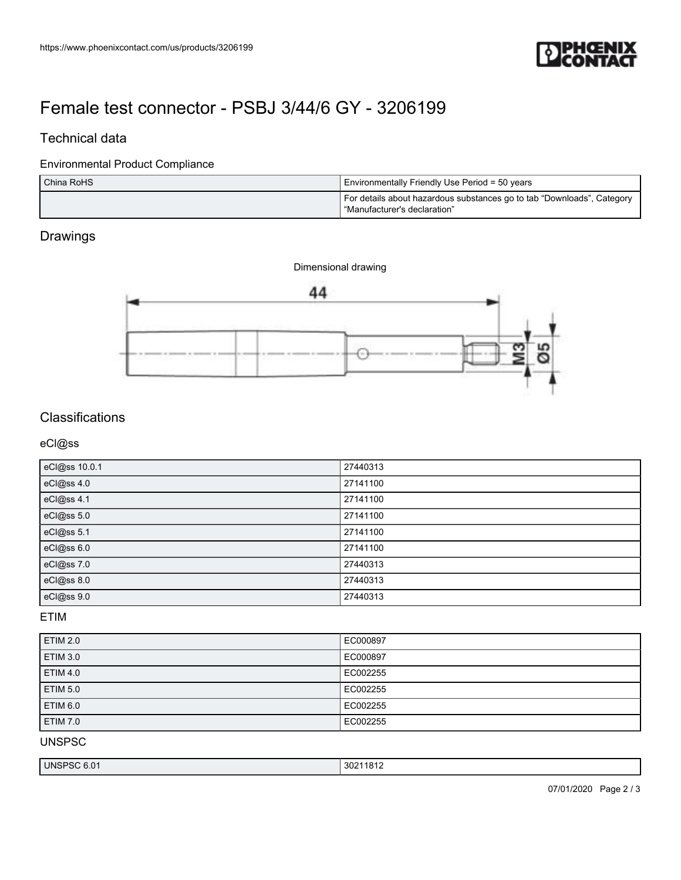

# [Female test connector - PSBJ 3/44/6 GY - 3206199](https://www.phoenixcontact.com/us/products/3206199)

### Technical data

#### Environmental Product Compliance

| China RoHS | Environmentally Friendly Use Period = 50 years                                                         |
|------------|--------------------------------------------------------------------------------------------------------|
|            | For details about hazardous substances go to tab "Downloads", Category<br>"Manufacturer's declaration" |

## Drawings



# **Classifications**

eCl@ss

| eCl@ss 10.0.1 | 27440313 |
|---------------|----------|
| eCl@ss 4.0    | 27141100 |
| eCl@ss 4.1    | 27141100 |
| eCl@ss 5.0    | 27141100 |
| eCl@ss 5.1    | 27141100 |
| eCl@ss 6.0    | 27141100 |
| eCl@ss 7.0    | 27440313 |
| eCl@ss 8.0    | 27440313 |
| eCl@ss 9.0    | 27440313 |

#### ETIM

| <b>ETIM 2.0</b> | EC000897 |
|-----------------|----------|
| <b>ETIM 3.0</b> | EC000897 |
| <b>ETIM 4.0</b> | EC002255 |
| <b>ETIM 5.0</b> | EC002255 |
| <b>ETIM 6.0</b> | EC002255 |
| <b>ETIM 7.0</b> | EC002255 |

UNSPSC

| UNSP<br>, o.u i<br>טכ׳ | 302 <sup>7</sup><br>1921<br><b>JULITOLE</b> |
|------------------------|---------------------------------------------|
|------------------------|---------------------------------------------|